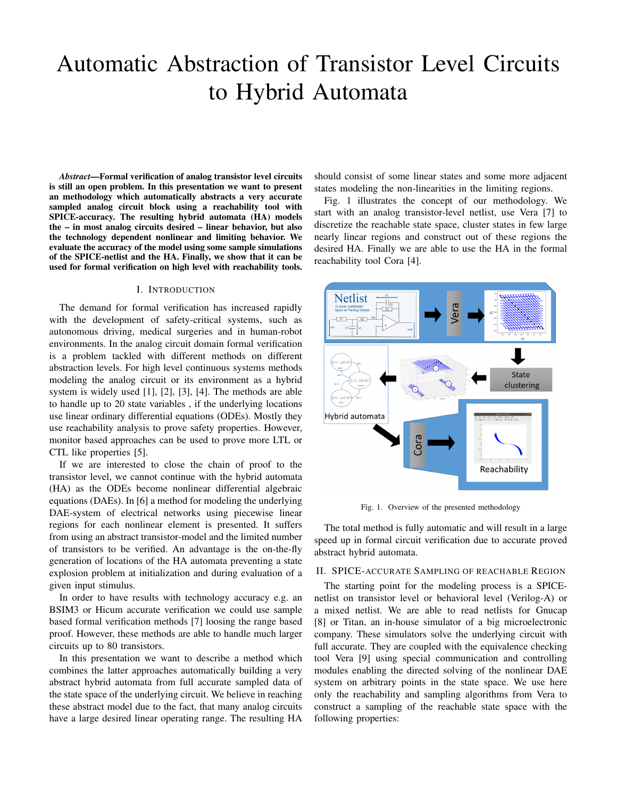# Automatic Abstraction of Transistor Level Circuits to Hybrid Automata

*Abstract*—Formal verification of analog transistor level circuits is still an open problem. In this presentation we want to present an methodology which automatically abstracts a very accurate sampled analog circuit block using a reachability tool with SPICE-accuracy. The resulting hybrid automata (HA) models the – in most analog circuits desired – linear behavior, but also the technology dependent nonlinear and limiting behavior. We evaluate the accuracy of the model using some sample simulations of the SPICE-netlist and the HA. Finally, we show that it can be used for formal verification on high level with reachability tools.

## I. INTRODUCTION

The demand for formal verification has increased rapidly with the development of safety-critical systems, such as autonomous driving, medical surgeries and in human-robot environments. In the analog circuit domain formal verification is a problem tackled with different methods on different abstraction levels. For high level continuous systems methods modeling the analog circuit or its environment as a hybrid system is widely used [1], [2], [3], [4]. The methods are able to handle up to 20 state variables , if the underlying locations use linear ordinary differential equations (ODEs). Mostly they use reachability analysis to prove safety properties. However, monitor based approaches can be used to prove more LTL or CTL like properties [5].

If we are interested to close the chain of proof to the transistor level, we cannot continue with the hybrid automata (HA) as the ODEs become nonlinear differential algebraic equations (DAEs). In [6] a method for modeling the underlying DAE-system of electrical networks using piecewise linear regions for each nonlinear element is presented. It suffers from using an abstract transistor-model and the limited number of transistors to be verified. An advantage is the on-the-fly generation of locations of the HA automata preventing a state explosion problem at initialization and during evaluation of a given input stimulus.

In order to have results with technology accuracy e.g. an BSIM3 or Hicum accurate verification we could use sample based formal verification methods [7] loosing the range based proof. However, these methods are able to handle much larger circuits up to 80 transistors.

In this presentation we want to describe a method which combines the latter approaches automatically building a very abstract hybrid automata from full accurate sampled data of the state space of the underlying circuit. We believe in reaching these abstract model due to the fact, that many analog circuits have a large desired linear operating range. The resulting HA

should consist of some linear states and some more adjacent states modeling the non-linearities in the limiting regions.

Fig. 1 illustrates the concept of our methodology. We start with an analog transistor-level netlist, use Vera [7] to discretize the reachable state space, cluster states in few large nearly linear regions and construct out of these regions the desired HA. Finally we are able to use the HA in the formal reachability tool Cora [4].



Fig. 1. Overview of the presented methodology

The total method is fully automatic and will result in a large speed up in formal circuit verification due to accurate proved abstract hybrid automata.

## II. SPICE-ACCURATE SAMPLING OF REACHABLE REGION

The starting point for the modeling process is a SPICEnetlist on transistor level or behavioral level (Verilog-A) or a mixed netlist. We are able to read netlists for Gnucap [8] or Titan, an in-house simulator of a big microelectronic company. These simulators solve the underlying circuit with full accurate. They are coupled with the equivalence checking tool Vera [9] using special communication and controlling modules enabling the directed solving of the nonlinear DAE system on arbitrary points in the state space. We use here only the reachability and sampling algorithms from Vera to construct a sampling of the reachable state space with the following properties: